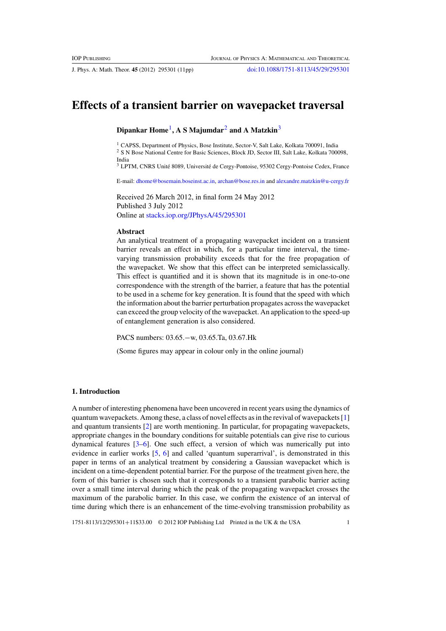J. Phys. A: Math. Theor. **45** (2012) 295301 (11pp) [doi:10.1088/1751-8113/45/29/295301](http://dx.doi.org/10.1088/1751-8113/45/29/295301)

# **Effects of a transient barrier on wavepacket traversal**

**Dipankar Home**[1](#page-1-0) **, A S Majumdar**[2](#page-1-0) **and A Matzkin**[3](#page-1-0)

<sup>1</sup> CAPSS, Department of Physics, Bose Institute, Sector-V, Salt Lake, Kolkata 700091, India

<sup>2</sup> S N Bose National Centre for Basic Sciences, Block JD, Sector III, Salt Lake, Kolkata 700098, India

<sup>3</sup> LPTM, CNRS Unité 8089, Université de Cergy-Pontoise, 95302 Cergy-Pontoise Cedex, France

E-mail: [dhome@bosemain.boseinst.ac.in,](mailto:dhome@bosemain.boseinst.ac.in) [archan@bose.res.in](mailto:archan@bose.res.in) and [alexandre.matzkin@u-cergy.fr](mailto:alexandre.matzkin@u-cergy.fr)

Received 26 March 2012, in final form 24 May 2012 Published 3 July 2012 Online at [stacks.iop.org/JPhysA/45/295301](http://stacks.iop.org/JPhysA/45/295301)

#### **Abstract**

An analytical treatment of a propagating wavepacket incident on a transient barrier reveals an effect in which, for a particular time interval, the timevarying transmission probability exceeds that for the free propagation of the wavepacket. We show that this effect can be interpreted semiclassically. This effect is quantified and it is shown that its magnitude is in one-to-one correspondence with the strength of the barrier, a feature that has the potential to be used in a scheme for key generation. It is found that the speed with which the information about the barrier perturbation propagates across the wavepacket can exceed the group velocity of the wavepacket. An application to the speed-up of entanglement generation is also considered.

PACS numbers: 03.65.−w, 03.65.Ta, 03.67.Hk

(Some figures may appear in colour only in the online journal)

# **1. Introduction**

A number of interesting phenomena have been uncovered in recent years using the dynamics of quantum wavepackets. Among these, a class of novel effects as in the revival of wavepackets [\[1](#page-10-0)] and quantum transients [\[2](#page-10-0)] are worth mentioning. In particular, for propagating wavepackets, appropriate changes in the boundary conditions for suitable potentials can give rise to curious dynamical features [\[3–6\]](#page-10-0). One such effect, a version of which was numerically put into evidence in earlier works [\[5](#page-10-0), [6](#page-10-0)] and called 'quantum superarrival', is demonstrated in this paper in terms of an analytical treatment by considering a Gaussian wavepacket which is incident on a time-dependent potential barrier. For the purpose of the treatment given here, the form of this barrier is chosen such that it corresponds to a transient parabolic barrier acting over a small time interval during which the peak of the propagating wavepacket crosses the maximum of the parabolic barrier. In this case, we confirm the existence of an interval of time during which there is an enhancement of the time-evolving transmission probability as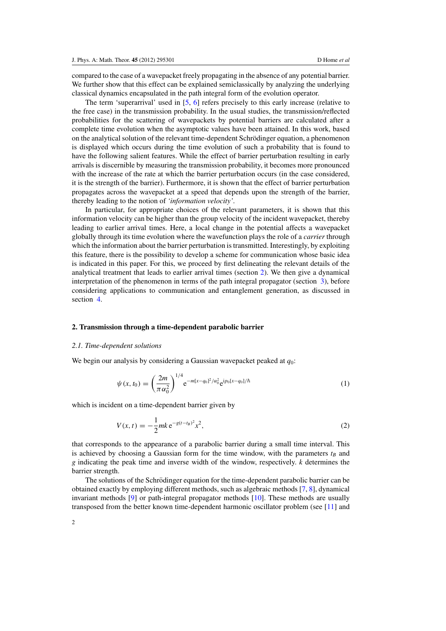<span id="page-1-0"></span>compared to the case of a wavepacket freely propagating in the absence of any potential barrier. We further show that this effect can be explained semiclassically by analyzing the underlying classical dynamics encapsulated in the path integral form of the evolution operator.

The term 'superarrival' used in [\[5](#page-10-0), [6\]](#page-10-0) refers precisely to this early increase (relative to the free case) in the transmission probability. In the usual studies, the transmission/reflected probabilities for the scattering of wavepackets by potential barriers are calculated after a complete time evolution when the asymptotic values have been attained. In this work, based on the analytical solution of the relevant time-dependent Schrödinger equation, a phenomenon is displayed which occurs during the time evolution of such a probability that is found to have the following salient features. While the effect of barrier perturbation resulting in early arrivals is discernible by measuring the transmission probability, it becomes more pronounced with the increase of the rate at which the barrier perturbation occurs (in the case considered, it is the strength of the barrier). Furthermore, it is shown that the effect of barrier perturbation propagates across the wavepacket at a speed that depends upon the strength of the barrier, thereby leading to the notion of *'information velocity'*.

In particular, for appropriate choices of the relevant parameters, it is shown that this information velocity can be higher than the group velocity of the incident wavepacket, thereby leading to earlier arrival times. Here, a local change in the potential affects a wavepacket globally through its time evolution where the wavefunction plays the role of a *carrier* through which the information about the barrier perturbation is transmitted. Interestingly, by exploiting this feature, there is the possibility to develop a scheme for communication whose basic idea is indicated in this paper. For this, we proceed by first delineating the relevant details of the analytical treatment that leads to earlier arrival times (section [2\)](#page-2-0). We then give a dynamical interpretation of the phenomenon in terms of the path integral propagator (section [3\)](#page-6-0), before considering applications to communication and entanglement generation, as discussed in section [4.](#page-7-0)

### **2. Transmission through a time-dependent parabolic barrier**

## *2.1. Time-dependent solutions*

We begin our analysis by considering a Gaussian wavepacket peaked at *q*0:

$$
\psi(x,t_0) = \left(\frac{2m}{\pi\alpha_0^2}\right)^{1/4} e^{-m[x-q_0]^2/\alpha_0^2} e^{ip_0[x-q_0]/\hbar}
$$
\n(1)

which is incident on a time-dependent barrier given by

$$
V(x,t) = -\frac{1}{2}mk e^{-g(t-t_B)^2}x^2,
$$
\t(2)

that corresponds to the appearance of a parabolic barrier during a small time interval. This is achieved by choosing a Gaussian form for the time window, with the parameters  $t_B$  and *g* indicating the peak time and inverse width of the window, respectively. *k* determines the barrier strength.

The solutions of the Schrödinger equation for the time-dependent parabolic barrier can be obtained exactly by employing different methods, such as algebraic methods [\[7,](#page-10-0) [8](#page-10-0)], dynamical invariant methods [\[9](#page-10-0)] or path-integral propagator methods [\[10\]](#page-10-0). These methods are usually transposed from the better known time-dependent harmonic oscillator problem (see [\[11](#page-10-0)] and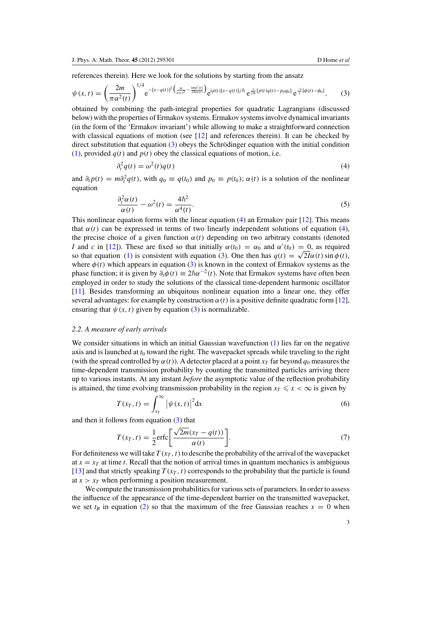<span id="page-2-0"></span>references therein). Here we look for the solutions by starting from the ansatz

$$
\psi(x,t) = \left(\frac{2m}{\pi\alpha^2(t)}\right)^{1/4} e^{-[x-q(t)]^2 \left(\frac{m}{\alpha(t)^2} - \frac{im\alpha'(t)}{2\hbar\alpha(t)}\right)} e^{ip(t)[x-q(t)]/\hbar} e^{\frac{i}{2\hbar}[p(t)q(t)-p_0q_0]} e^{\frac{-i}{2}[\phi(t)-\phi_0]},\tag{3}
$$

obtained by combining the path-integral properties for quadratic Lagrangians (discussed below) with the properties of Ermakov systems. Ermakov systems involve dynamical invariants (in the form of the 'Ermakov invariant') while allowing to make a straightforward connection with classical equations of motion (see [\[12](#page-10-0)] and references therein). It can be checked by direct substitution that equation  $(3)$  obeys the Schrödinger equation with the initial condition (1), provided  $q(t)$  and  $p(t)$  obey the classical equations of motion, i.e.

$$
\partial_t^2 q(t) = \omega^2(t) q(t) \tag{4}
$$

and  $\partial_t p(t) = m \partial_t^2 q(t)$ , with  $q_0 \equiv q(t_0)$  and  $p_0 \equiv p(t_0)$ ;  $\alpha(t)$  is a solution of the nonlinear equation

$$
\frac{\partial_t^2 \alpha(t)}{\alpha(t)} - \omega^2(t) = \frac{4\hbar^2}{\alpha^4(t)}.
$$
\n(5)

This nonlinear equation forms with the linear equation  $(4)$  an Ermakov pair  $[12]$  $[12]$ . This means that  $\alpha(t)$  can be expressed in terms of two linearly independent solutions of equation [\(4\)](#page-3-0), the precise choice of a given function  $\alpha(t)$  depending on two arbitrary constants (denoted *I* and *c* in [\[12\]](#page-10-0)). These are fixed so that initially  $\alpha(t_0) = \alpha_0$  and  $\alpha'(t_0) = 0$ , as required so that equation (1) is consistent with equation [\(3\)](#page-3-0). One then has  $q(t) = \sqrt{2I}\alpha(t) \sin \phi(t)$ , where  $\phi(t)$  which appears in equation [\(3\)](#page-3-0) is known in the context of Ermakov systems as the phase function; it is given by  $\partial_t \phi(t) = 2\hbar \alpha^{-2}(t)$ . Note that Ermakov systems have often been employed in order to study the solutions of the classical time-dependent harmonic oscillator [\[11](#page-10-0)]. Besides transforming an ubiquitous nonlinear equation into a linear one, they offer several advantages: for example by construction  $\alpha(t)$  is a positive definite quadratic form [\[12\]](#page-10-0), ensuring that  $\psi(x, t)$  given by equation [\(3\)](#page-3-0) is normalizable.

## *2.2. A measure of early arrivals*

We consider situations in which an initial Gaussian wavefunction (1) lies far on the negative axis and is launched at  $t_0$  toward the right. The wavepacket spreads while traveling to the right (with the spread controlled by  $\alpha(t)$ ). A detector placed at a point  $x_T$  far beyond  $q_0$  measures the time-dependent transmission probability by counting the transmitted particles arriving there up to various instants. At any instant *before* the asymptotic value of the reflection probability is attained, the time evolving transmission probability in the region  $x_T \le x < \infty$  is given by

$$
T(x_T, t) = \int_{x_T}^{\infty} |\psi(x, t)|^2 dx
$$
 (6)

and then it follows from equation [\(3\)](#page-3-0) that

$$
T(x_T, t) = \frac{1}{2} \text{erfc} \bigg[ \frac{\sqrt{2m}(x_T - q(t))}{\alpha(t)} \bigg].
$$
 (7)

For definiteness we will take  $T(x_T, t)$  to describe the probability of the arrival of the wavepacket at  $x = x_T$  at time *t*. Recall that the notion of arrival times in quantum mechanics is ambiguous [\[13](#page-10-0)] and that strictly speaking  $T(x_T, t)$  corresponds to the probability that the particle is found at  $x > x_T$  when performing a position measurement.

We compute the transmission probabilities for various sets of parameters. In order to assess the influence of the appearance of the time-dependent barrier on the transmitted wavepacket, we set  $t_B$  in equation (2) so that the maximum of the free Gaussian reaches  $x = 0$  when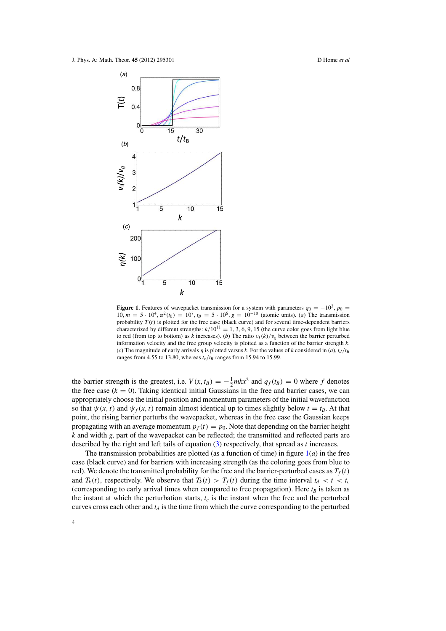<span id="page-3-0"></span>

**Figure 1.** Features of wavepacket transmission for a system with parameters  $q_0 = -10^3$ ,  $p_0 =$ 10, *m* = 5 · 10<sup>4</sup>,  $\alpha^2(t_0) = 10^7$ ,  $t_B = 5 \cdot 10^6$ ,  $g = 10^{-10}$  (atomic units). (*a*) The transmission probability  $T(t)$  is plotted for the free case (black curve) and for several time-dependent barriers characterized by different strengths:  $k/10^{11} = 1, 3, 6, 9, 15$  (the curve color goes from light blue to red (from top to bottom) as *k* increases). (*b*) The ratio  $v_I(k)/v_g$  between the barrier perturbed information velocity and the free group velocity is plotted as a function of the barrier strength *k*. (*c*) The magnitude of early arrivals  $\eta$  is plotted versus *k*. For the values of *k* considered in (*a*),  $t_d/t_B$ ranges from 4.55 to 13.80, whereas  $t_c/t_B$  ranges from 15.94 to 15.99.

the barrier strength is the greatest, i.e.  $V(x, t_B) = -\frac{1}{2}m kx^2$  and  $q_f(t_B) = 0$  where *f* denotes the free case  $(k = 0)$ . Taking identical initial Gaussians in the free and barrier cases, we can appropriately choose the initial position and momentum parameters of the initial wavefunction so that  $\psi(x, t)$  and  $\psi_f(x, t)$  remain almost identical up to times slightly below  $t = t_B$ . At that point, the rising barrier perturbs the wavepacket, whereas in the free case the Gaussian keeps propagating with an average momentum  $p_f(t) = p_0$ . Note that depending on the barrier height *k* and width *g*, part of the wavepacket can be reflected; the transmitted and reflected parts are described by the right and left tails of equation (3) respectively, that spread as *t* increases.

The transmission probabilities are plotted (as a function of time) in figure  $1(a)$  $1(a)$  in the free case (black curve) and for barriers with increasing strength (as the coloring goes from blue to red). We denote the transmitted probability for the free and the barrier-perturbed cases as  $T_f(t)$ and  $T_k(t)$ , respectively. We observe that  $T_k(t) > T_f(t)$  during the time interval  $t_d < t < t_c$ (corresponding to early arrival times when compared to free propagation). Here  $t<sub>B</sub>$  is taken as the instant at which the perturbation starts,  $t_c$  is the instant when the free and the perturbed curves cross each other and *t<sup>d</sup>* is the time from which the curve corresponding to the perturbed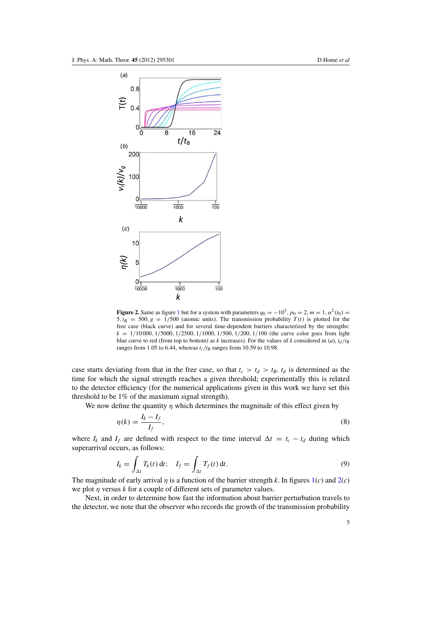<span id="page-4-0"></span>

**Figure 2.** Same as figure 1 but for a system with parameters  $q_0 = -10^3$ ,  $p_0 = 2$ ,  $m = 1$ ,  $\alpha^2(t_0) =$  $5, t_{B} = 500, g = 1/500$  (atomic units). The transmission probability  $T(t)$  is plotted for the free case (black curve) and for several time-dependent barriers characterized by the strengths:  $k = 1/10000, 1/5000, 1/2500, 1/1000, 1/500, 1/200, 1/100$  (the curve color goes from light blue curve to red (from top to bottom) as *k* increases). For the values of *k* considered in (*a*),  $t_d/t_B$ ranges from 1.05 to 6.44, whereas  $t_c/t_B$  ranges from 10.59 to 10.98.

case starts deviating from that in the free case, so that  $t_c > t_d > t_B$ .  $t_d$  is determined as the time for which the signal strength reaches a given threshold; experimentally this is related to the detector efficiency (for the numerical applications given in this work we have set this threshold to be 1% of the maximum signal strength).

We now define the quantity  $\eta$  which determines the magnitude of this effect given by

$$
\eta(k) = \frac{I_k - I_f}{I_f},\tag{8}
$$

where  $I_k$  and  $I_f$  are defined with respect to the time interval  $\Delta t = t_c - t_d$  during which superarrival occurs, as follows:

$$
I_k = \int_{\Delta t} T_k(t) dt; \quad I_f = \int_{\Delta t} T_f(t) dt.
$$
 (9)

The magnitude of early arrival  $\eta$  is a function of the barrier strength *k*. In figures  $1(c)$  and  $2(c)$  $2(c)$ we plot  $\eta$  versus  $k$  for a couple of different sets of parameter values.

Next, in order to determine how fast the information about barrier perturbation travels to the detector, we note that the observer who records the growth of the transmission probability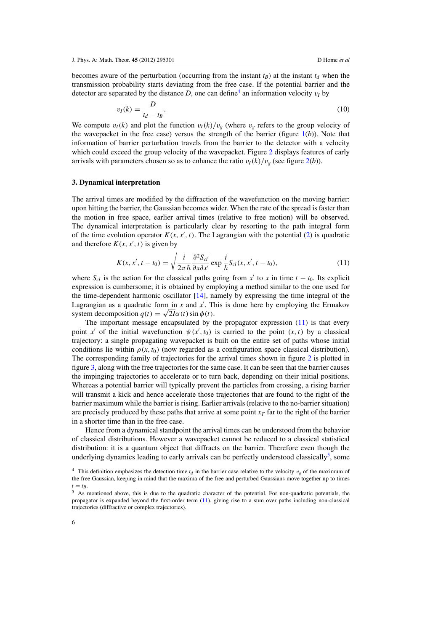<span id="page-5-0"></span>becomes aware of the perturbation (occurring from the instant  $t_B$ ) at the instant  $t_d$  when the transmission probability starts deviating from the free case. If the potential barrier and the detector are separated by the distance  $D$ , one can define<sup>[4](#page-6-0)</sup> an information velocity  $v_I$  by

$$
v_I(k) = \frac{D}{t_d - t_B}.\tag{10}
$$

We compute  $v_I(k)$  and plot the function  $v_I(k)/v_g$  (where  $v_g$  refers to the group velocity of the wavepacket in the free case) versus the strength of the barrier (figure  $1(b)$  $1(b)$ ). Note that information of barrier perturbation travels from the barrier to the detector with a velocity which could exceed the group velocity of the wavepacket. Figure 2 displays features of early arrivals with parameters chosen so as to enhance the ratio  $v_I(k)/v_g$  (see figure 2(*b*)).

### **3. Dynamical interpretation**

The arrival times are modified by the diffraction of the wavefunction on the moving barrier: upon hitting the barrier, the Gaussian becomes wider. When the rate of the spread is faster than the motion in free space, earlier arrival times (relative to free motion) will be observed. The dynamical interpretation is particularly clear by resorting to the path integral form of the time evolution operator  $K(x, x', t)$ . The Lagrangian with the potential [\(2\)](#page-2-0) is quadratic and therefore  $K(x, x', t)$  is given by

$$
K(x, x', t - t_0) = \sqrt{\frac{i}{2\pi\hbar} \frac{\partial^2 S_{cl}}{\partial x \partial x'}} \exp{\frac{i}{\hbar} S_{cl}(x, x', t - t_0)},
$$
(11)

where  $S_{cl}$  is the action for the classical paths going from  $x'$  to  $x$  in time  $t - t_0$ . Its explicit expression is cumbersome; it is obtained by employing a method similar to the one used for the time-dependent harmonic oscillator [\[14\]](#page-10-0), namely by expressing the time integral of the Lagrangian as a quadratic form in  $x$  and  $x'$ . This is done here by employing the Ermakov system decomposition  $q(t) = \sqrt{2I}\alpha(t) \sin \phi(t)$ .

The important message encapsulated by the propagator expression  $(11)$  is that every point *x'* of the initial wavefunction  $\psi(x', t_0)$  is carried to the point  $(x, t)$  by a classical trajectory: a single propagating wavepacket is built on the entire set of paths whose initial conditions lie within  $\rho(x, t_0)$  (now regarded as a configuration space classical distribution). The corresponding family of trajectories for the arrival times shown in figure 2 is plotted in figure [3,](#page-7-0) along with the free trajectories for the same case. It can be seen that the barrier causes the impinging trajectories to accelerate or to turn back, depending on their initial positions. Whereas a potential barrier will typically prevent the particles from crossing, a rising barrier will transmit a kick and hence accelerate those trajectories that are found to the right of the barrier maximum while the barrier is rising. Earlier arrivals (relative to the no-barrier situation) are precisely produced by these paths that arrive at some point  $x<sub>T</sub>$  far to the right of the barrier in a shorter time than in the free case.

Hence from a dynamical standpoint the arrival times can be understood from the behavior of classical distributions. However a wavepacket cannot be reduced to a classical statistical distribution: it is a quantum object that diffracts on the barrier. Therefore even though the underlying dynamics leading to early arrivals can be perfectly understood classically<sup>[5](#page-6-0)</sup>, some

<sup>&</sup>lt;sup>4</sup> This definition emphasizes the detection time  $t_d$  in the barrier case relative to the velocity  $v_g$  of the maximum of the free Gaussian, keeping in mind that the maxima of the free and perturbed Gaussians move together up to times  $t = t_B$ .

<sup>5</sup> As mentioned above, this is due to the quadratic character of the potential. For non-quadratic potentials, the propagator is expanded beyond the first-order term [\(11\)](#page-6-0), giving rise to a sum over paths including non-classical trajectories (diffractive or complex trajectories).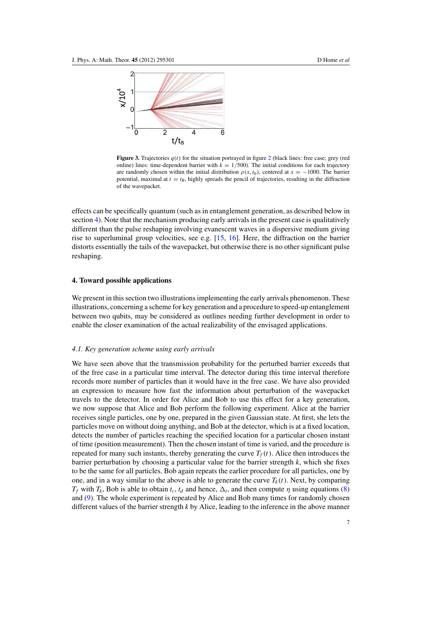<span id="page-6-0"></span>

**Figure 3.** Trajectories  $q(t)$  for the situation portrayed in figure [2](#page-5-0) (black lines: free case; grey (red online) lines: time-dependent barrier with  $k = 1/500$ . The initial conditions for each trajectory are randomly chosen within the initial distribution  $\rho(x, t_0)$ , centered at  $x = -1000$ . The barrier potential, maximal at  $t = t_B$ , highly spreads the pencil of trajectories, resulting in the diffraction of the wavepacket.

effects can be specifically quantum (such as in entanglement generation, as described below in section [4\)](#page-7-0). Note that the mechanism producing early arrivals in the present case is qualitatively different than the pulse reshaping involving evanescent waves in a dispersive medium giving rise to superluminal group velocities, see e.g. [\[15](#page-10-0), [16](#page-10-0)]. Here, the diffraction on the barrier distorts essentially the tails of the wavepacket, but otherwise there is no other significant pulse reshaping.

## **4. Toward possible applications**

We present in this section two illustrations implementing the early arrivals phenomenon. These illustrations, concerning a scheme for key generation and a procedure to speed-up entanglement between two qubits, may be considered as outlines needing further development in order to enable the closer examination of the actual realizability of the envisaged applications.

## *4.1. Key generation scheme using early arrivals*

We have seen above that the transmission probability for the perturbed barrier exceeds that of the free case in a particular time interval. The detector during this time interval therefore records more number of particles than it would have in the free case. We have also provided an expression to measure how fast the information about perturbation of the wavepacket travels to the detector. In order for Alice and Bob to use this effect for a key generation, we now suppose that Alice and Bob perform the following experiment. Alice at the barrier receives single particles, one by one, prepared in the given Gaussian state. At first, she lets the particles move on without doing anything, and Bob at the detector, which is at a fixed location, detects the number of particles reaching the specified location for a particular chosen instant of time (position measurement). Then the chosen instant of time is varied, and the procedure is repeated for many such instants, thereby generating the curve  $T_f(t)$ . Alice then introduces the barrier perturbation by choosing a particular value for the barrier strength *k*, which she fixes to be the same for all particles. Bob again repeats the earlier procedure for all particles, one by one, and in a way similar to the above is able to generate the curve  $T_k(t)$ . Next, by comparing *T<sub>f</sub>* with *T<sub>k</sub>*, Bob is able to obtain *t<sub>c</sub>*, *t<sub>d</sub>* and hence,  $\Delta_t$ , and then compute  $\eta$  using equations [\(8\)](#page-5-0) and [\(9\)](#page-5-0). The whole experiment is repeated by Alice and Bob many times for randomly chosen different values of the barrier strength *k* by Alice, leading to the inference in the above manner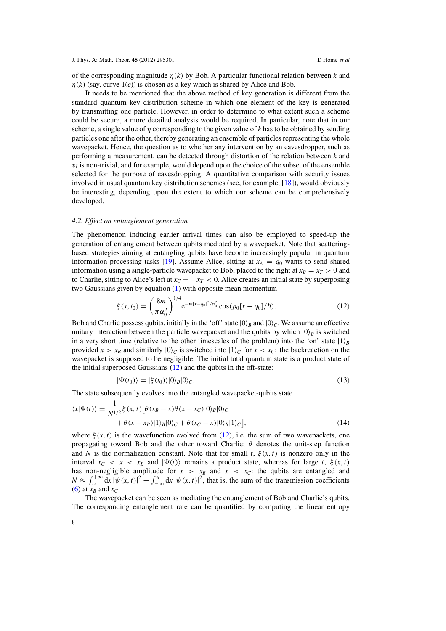<span id="page-7-0"></span>of the corresponding magnitude  $\eta(k)$  by Bob. A particular functional relation between k and  $\eta(k)$  (say, curve  $1(c)$ ) is chosen as a key which is shared by Alice and Bob.

It needs to be mentioned that the above method of key generation is different from the standard quantum key distribution scheme in which one element of the key is generated by transmitting one particle. However, in order to determine to what extent such a scheme could be secure, a more detailed analysis would be required. In particular, note that in our scheme, a single value of  $\eta$  corresponding to the given value of  $k$  has to be obtained by sending particles one after the other, thereby generating an ensemble of particles representing the whole wavepacket. Hence, the question as to whether any intervention by an eavesdropper, such as performing a measurement, can be detected through distortion of the relation between *k* and  $v_I$  is non-trivial, and for example, would depend upon the choice of the subset of the ensemble selected for the purpose of eavesdropping. A quantitative comparison with security issues involved in usual quantum key distribution schemes (see, for example, [\[18](#page--1-0)]), would obviously be interesting, depending upon the extent to which our scheme can be comprehensively developed.

## *4.2. Effect on entanglement generation*

The phenomenon inducing earlier arrival times can also be employed to speed-up the generation of entanglement between qubits mediated by a wavepacket. Note that scatteringbased strategies aiming at entangling qubits have become increasingly popular in quantum information processing tasks [\[19\]](#page--1-0). Assume Alice, sitting at  $x_A = q_0$  wants to send shared information using a single-particle wavepacket to Bob, placed to the right at  $x_B = x_T > 0$  and to Charlie, sitting to Alice's left at  $x_C = -x_T < 0$ . Alice creates an initial state by superposing two Gaussians given by equation [\(1\)](#page-2-0) with opposite mean momentum

$$
\xi(x, t_0) = \left(\frac{8m}{\pi\alpha_0^2}\right)^{1/4} e^{-m[x - q_0]^2/\alpha_0^2} \cos(p_0[x - q_0]/\hbar).
$$
 (12)

Bob and Charlie possess qubits, initially in the 'off' state  $|0\rangle_B$  and  $|0\rangle_C$ . We assume an effective unitary interaction between the particle wavepacket and the qubits by which  $|0\rangle_B$  is switched in a very short time (relative to the other timescales of the problem) into the 'on' state  $|1\rangle_B$ provided  $x > x_B$  and similarly  $|0\rangle_C$  is switched into  $|1\rangle_C$  for  $x < x_C$ ; the backreaction on the wavepacket is supposed to be negligible. The initial total quantum state is a product state of the initial superposed Gaussians [\(12\)](#page-8-0) and the qubits in the off-state:

$$
|\Psi(t_0)\rangle = |\xi(t_0)\rangle|0\rangle_B|0\rangle_C. \tag{13}
$$

The state subsequently evolves into the entangled wavepacket-qubits state

$$
\langle x|\Psi(t)\rangle = \frac{1}{N^{1/2}}\xi(x,t)\big[\theta(x_B - x)\theta(x - x_C)|0\rangle_B|0\rangle_C + \theta(x - x_B)|1\rangle_B|0\rangle_C + \theta(x_C - x)|0\rangle_B|1\rangle_C\big],\tag{14}
$$

where  $\xi(x, t)$  is the wavefunction evolved from [\(12\)](#page-8-0), i.e. the sum of two wavepackets, one propagating toward Bob and the other toward Charlie;  $\theta$  denotes the unit-step function and *N* is the normalization constant. Note that for small *t*,  $\xi(x, t)$  is nonzero only in the interval  $x_C \le x \le x_B$  and  $|\Psi(t)\rangle$  remains a product state, whereas for large *t*,  $\xi(x, t)$ has non-negligible amplitude for  $x > x_B$  and  $x < x_C$ : the qubits are entangled and  $N \approx \int_{x_B}^{+\infty} dx \, |\psi(x, t)|^2 + \int_{-\infty}^{x_C} dx \, |\psi(x, t)|^2$ , that is, the sum of the transmission coefficients [\(6\)](#page-3-0) at  $x_B$  and  $x_C$ .

The wavepacket can be seen as mediating the entanglement of Bob and Charlie's qubits. The corresponding entanglement rate can be quantified by computing the linear entropy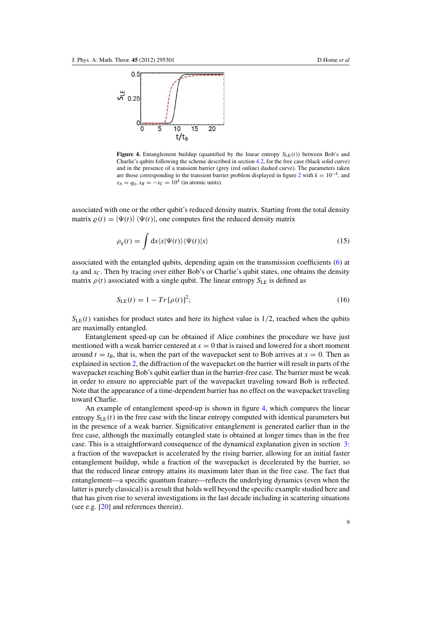<span id="page-8-0"></span>

**Figure 4.** Entanglement buildup (quantified by the linear entropy  $S_{LE}(t)$ ) between Bob's and Charlie's qubits following the scheme described in section 4.2, for the free case (black solid curve) and in the presence of a transient barrier (grey (red online) dashed curve). The parameters taken are those corresponding to the transient barrier problem displayed in figure [2](#page-5-0) with  $k = 10^{-4}$ , and  $x_A = q_0, x_B = -x_C = 10^4$  (in atomic units).

associated with one or the other qubit's reduced density matrix. Starting from the total density matrix  $\rho(t) = |\Psi(t)\rangle \langle \Psi(t)|$ , one computes first the reduced density matrix

$$
\rho_q(t) = \int dx \langle x | \Psi(t) \rangle \langle \Psi(t) | x \rangle \tag{15}
$$

associated with the entangled qubits, depending again on the transmission coefficients [\(6\)](#page-3-0) at  $x_B$  and  $x_C$ . Then by tracing over either Bob's or Charlie's qubit states, one obtains the density matrix  $\rho(t)$  associated with a single qubit. The linear entropy  $S_{\text{LE}}$  is defined as

$$
S_{\text{LE}}(t) = 1 - Tr[\rho(t)]^2; \tag{16}
$$

 $S_{\text{LE}}(t)$  vanishes for product states and here its highest value is  $1/2$ , reached when the qubits are maximally entangled.

Entanglement speed-up can be obtained if Alice combines the procedure we have just mentioned with a weak barrier centered at  $x = 0$  that is raised and lowered for a short moment around  $t = t_B$ , that is, when the part of the wavepacket sent to Bob arrives at  $x = 0$ . Then as explained in section [2,](#page-2-0) the diffraction of the wavepacket on the barrier will result in parts of the wavepacket reaching Bob's qubit earlier than in the barrier-free case. The barrier must be weak in order to ensure no appreciable part of the wavepacket traveling toward Bob is reflected. Note that the appearance of a time-dependent barrier has no effect on the wavepacket traveling toward Charlie.

An example of entanglement speed-up is shown in figure [4,](#page-9-0) which compares the linear entropy  $S_{\text{LE}}(t)$  in the free case with the linear entropy computed with identical parameters but in the presence of a weak barrier. Significative entanglement is generated earlier than in the free case, although the maximally entangled state is obtained at longer times than in the free case. This is a straightforward consequence of the dynamical explanation given in section [3:](#page-6-0) a fraction of the wavepacket is accelerated by the rising barrier, allowing for an initial faster entanglement buildup, while a fraction of the wavepacket is decelerated by the barrier, so that the reduced linear entropy attains its maximum later than in the free case. The fact that entanglement—a specific quantum feature—reflects the underlying dynamics (even when the latter is purely classical) is a result that holds well beyond the specific example studied here and that has given rise to several investigations in the last decade including in scattering situations (see e.g. [\[20\]](#page--1-0) and references therein).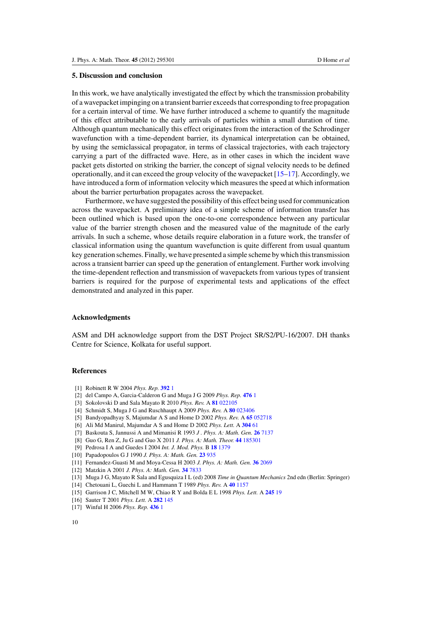# <span id="page-9-0"></span>**5. Discussion and conclusion**

In this work, we have analytically investigated the effect by which the transmission probability of a wavepacket impinging on a transient barrier exceeds that corresponding to free propagation for a certain interval of time. We have further introduced a scheme to quantify the magnitude of this effect attributable to the early arrivals of particles within a small duration of time. Although quantum mechanically this effect originates from the interaction of the Schrodinger wavefunction with a time-dependent barrier, its dynamical interpretation can be obtained, by using the semiclassical propagator, in terms of classical trajectories, with each trajectory carrying a part of the diffracted wave. Here, as in other cases in which the incident wave packet gets distorted on striking the barrier, the concept of signal velocity needs to be defined operationally, and it can exceed the group velocity of the wavepacket [\[15–17\]](#page-10-0). Accordingly, we have introduced a form of information velocity which measures the speed at which information about the barrier perturbation propagates across the wavepacket.

Furthermore, we have suggested the possibility of this effect being used for communication across the wavepacket. A preliminary idea of a simple scheme of information transfer has been outlined which is based upon the one-to-one correspondence between any particular value of the barrier strength chosen and the measured value of the magnitude of the early arrivals. In such a scheme, whose details require elaboration in a future work, the transfer of classical information using the quantum wavefunction is quite different from usual quantum key generation schemes. Finally, we have presented a simple scheme by which this transmission across a transient barrier can speed up the generation of entanglement. Further work involving the time-dependent reflection and transmission of wavepackets from various types of transient barriers is required for the purpose of experimental tests and applications of the effect demonstrated and analyzed in this paper.

## **Acknowledgments**

ASM and DH acknowledge support from the DST Project SR/S2/PU-16/2007. DH thanks Centre for Science, Kolkata for useful support.

#### **References**

- [1] Robinett R W 2004 *Phys. Rep.* **[392](http://dx.doi.org/10.1016/j.physrep.2003.11.002)** 1
- [2] del Campo A, Garcia-Calderon G and Muga J G 2009 *Phys. Rep.* **[476](http://dx.doi.org/10.1016/j.physrep.2009.03.002)** 1
- [3] Sokolovski D and Sala Mayato R 2010 *Phys. Rev.* A **81** [022105](http://dx.doi.org/10.1103/PhysRevA.81.022105)
- [4] Schmidt S, Muga J G and Ruschhaupt A 2009 *Phys. Rev.* A **80** [023406](http://dx.doi.org/10.1103/PhysRevA.80.023406)
- [5] Bandyopadhyay S, Majumdar A S and Home D 2002 *Phys. Rev.* A **65** [052718](http://dx.doi.org/10.1103/PhysRevA.65.052718)
- [6] Ali Md Manirul, Majumdar A S and Home D 2002 *Phys. Lett.* A **[304](http://dx.doi.org/10.1016/S0375-9601(02)01353-1)** 61
- [7] Baskouta S, Jannussi A and Mimanisi R 1993 *J . Phys. A: Math. Gen.* **26** [7137](http://dx.doi.org/10.1088/0305-4470/26/23/048)
- [8] Guo G, Ren Z, Ju G and Guo X 2011 *J. Phys. A: Math. Theor.* **44** [185301](http://dx.doi.org/10.1088/1751-8113/44/18/185301)
- [9] Pedrosa I A and Guedes I 2004 *Int. J. Mod. Phys.* B **18** [1379](http://dx.doi.org/10.1142/S0217979204024732)
- [10] Papadopoulos G J 1990 *J. Phys. A: Math. Gen.* **23** [935](http://dx.doi.org/10.1088/0305-4470/23/6/016)
- [11] Fernandez-Guasti M and Moya-Cessa H 2003 *J. Phys. A: Math. Gen.* **36** [2069](http://dx.doi.org/10.1088/0305-4470/36/8/305)
- [12] Matzkin A 2001 *J. Phys. A: Math. Gen.* **34** [7833](http://dx.doi.org/10.1088/0305-4470/34/38/309)
- [13] Muga J G, Mayato R Sala and Egusquiza I L (ed) 2008 *Time in Quantum Mechanics* 2nd edn (Berlin: Springer)
- [14] Chetouani L, Guechi L and Hammann T 1989 *Phys. Rev.* A **40** [1157](http://dx.doi.org/10.1103/PhysRevA.40.1157)
- [15] Garrison J C, Mitchell M W, Chiao R Y and Bolda E L 1998 *Phys. Lett.* A **[245](http://dx.doi.org/10.1016/S0375-9601(98)00381-8)** 19
- [16] Sauter T 2001 *Phys. Lett.* A **[282](http://dx.doi.org/10.1016/S0375-9601(01)00183-9)** 145
- [17] Winful H 2006 *Phys. Rep.* **[436](http://dx.doi.org/10.1016/j.physrep.2006.09.002)** 1